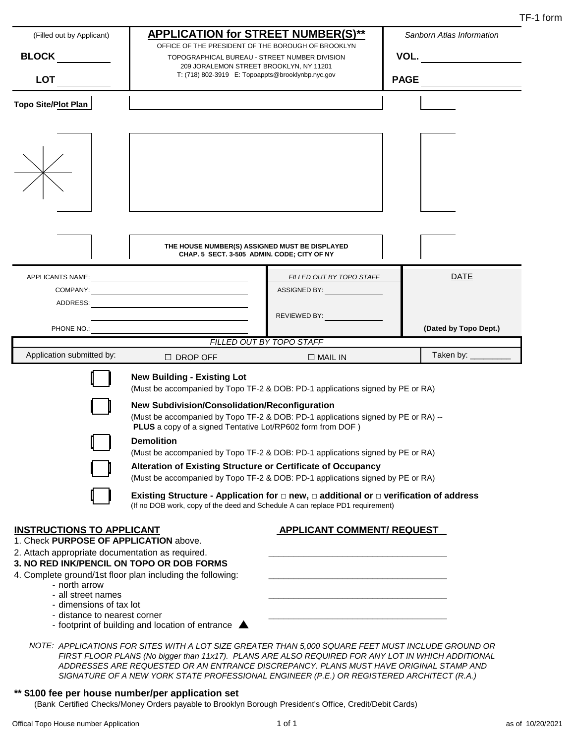| (Filled out by Applicant)                                                                                                      | <b>APPLICATION for STREET NUMBER(S)**</b>                                                                                                                                             |                                                                                | Sanborn Atlas Information |  |  |
|--------------------------------------------------------------------------------------------------------------------------------|---------------------------------------------------------------------------------------------------------------------------------------------------------------------------------------|--------------------------------------------------------------------------------|---------------------------|--|--|
| <b>BLOCK</b>                                                                                                                   | OFFICE OF THE PRESIDENT OF THE BOROUGH OF BROOKLYN<br>TOPOGRAPHICAL BUREAU - STREET NUMBER DIVISION                                                                                   |                                                                                | VOL.                      |  |  |
|                                                                                                                                | 209 JORALEMON STREET BROOKLYN, NY 11201                                                                                                                                               |                                                                                |                           |  |  |
| <b>LOT</b>                                                                                                                     | T: (718) 802-3919 E: Topoappts@brooklynbp.nyc.gov                                                                                                                                     | <b>PAGE</b>                                                                    |                           |  |  |
| <b>Topo Site/Plot Plan</b>                                                                                                     |                                                                                                                                                                                       |                                                                                |                           |  |  |
|                                                                                                                                |                                                                                                                                                                                       |                                                                                |                           |  |  |
|                                                                                                                                |                                                                                                                                                                                       |                                                                                |                           |  |  |
|                                                                                                                                | THE HOUSE NUMBER(S) ASSIGNED MUST BE DISPLAYED<br>CHAP. 5 SECT. 3-505 ADMIN. CODE; CITY OF NY                                                                                         |                                                                                |                           |  |  |
|                                                                                                                                |                                                                                                                                                                                       | FILLED OUT BY TOPO STAFF                                                       | <b>DATE</b>               |  |  |
|                                                                                                                                |                                                                                                                                                                                       | ASSIGNED BY: ASSIGNED BY:                                                      |                           |  |  |
|                                                                                                                                |                                                                                                                                                                                       |                                                                                |                           |  |  |
|                                                                                                                                |                                                                                                                                                                                       | REVIEWED BY:                                                                   |                           |  |  |
|                                                                                                                                | <u> 1989 - Johann Stoff, deutscher Stoffen und der Stoffen und der Stoffen und der Stoffen und der Stoffen und der</u>                                                                |                                                                                |                           |  |  |
|                                                                                                                                |                                                                                                                                                                                       | FILLED OUT BY TOPO STAFF                                                       | (Dated by Topo Dept.)     |  |  |
| Application submitted by:                                                                                                      |                                                                                                                                                                                       |                                                                                | Taken by: ________        |  |  |
|                                                                                                                                | $\Box$ DROP OFF                                                                                                                                                                       | $\Box$ MAIL IN                                                                 |                           |  |  |
|                                                                                                                                | <b>New Building - Existing Lot</b>                                                                                                                                                    |                                                                                |                           |  |  |
|                                                                                                                                |                                                                                                                                                                                       | (Must be accompanied by Topo TF-2 & DOB: PD-1 applications signed by PE or RA) |                           |  |  |
|                                                                                                                                |                                                                                                                                                                                       | New Subdivision/Consolidation/Reconfiguration                                  |                           |  |  |
|                                                                                                                                |                                                                                                                                                                                       |                                                                                |                           |  |  |
|                                                                                                                                | (Must be accompanied by Topo TF-2 & DOB: PD-1 applications signed by PE or RA) --                                                                                                     |                                                                                |                           |  |  |
|                                                                                                                                | PLUS a copy of a signed Tentative Lot/RP602 form from DOF)                                                                                                                            |                                                                                |                           |  |  |
|                                                                                                                                | <b>Demolition</b><br>(Must be accompanied by Topo TF-2 & DOB: PD-1 applications signed by PE or RA)                                                                                   |                                                                                |                           |  |  |
|                                                                                                                                |                                                                                                                                                                                       |                                                                                |                           |  |  |
|                                                                                                                                | Alteration of Existing Structure or Certificate of Occupancy<br>(Must be accompanied by Topo TF-2 & DOB: PD-1 applications signed by PE or RA)                                        |                                                                                |                           |  |  |
|                                                                                                                                | Existing Structure - Application for $\Box$ new, $\Box$ additional or $\Box$ verification of address<br>(If no DOB work, copy of the deed and Schedule A can replace PD1 requirement) |                                                                                |                           |  |  |
|                                                                                                                                |                                                                                                                                                                                       |                                                                                |                           |  |  |
| <b>INSTRUCTIONS TO APPLICANT</b><br>1. Check PURPOSE OF APPLICATION above.<br>2. Attach appropriate documentation as required. |                                                                                                                                                                                       | <b>APPLICANT COMMENT/ REQUEST</b>                                              |                           |  |  |
|                                                                                                                                | 3. NO RED INK/PENCIL ON TOPO OR DOB FORMS                                                                                                                                             |                                                                                |                           |  |  |
| - north arrow                                                                                                                  | 4. Complete ground/1st floor plan including the following:                                                                                                                            |                                                                                |                           |  |  |
| - all street names                                                                                                             |                                                                                                                                                                                       |                                                                                |                           |  |  |
| - dimensions of tax lot<br>- distance to nearest corner                                                                        |                                                                                                                                                                                       |                                                                                |                           |  |  |

*FIRST FLOOR PLANS (No bigger than 11x17). PLANS ARE ALSO REQUIRED FOR ANY LOT IN WHICH ADDITIONAL ADDRESSES ARE REQUESTED OR AN ENTRANCE DISCREPANCY. PLANS MUST HAVE ORIGINAL STAMP AND SIGNATURE OF A NEW YORK STATE PROFESSIONAL ENGINEER (P.E.) OR REGISTERED ARCHITECT (R.A.)*

#### **\*\* \$100 fee per house number/per application set**

(Bank Certified Checks/Money Orders payable to Brooklyn Borough President's Office, Credit/Debit Cards)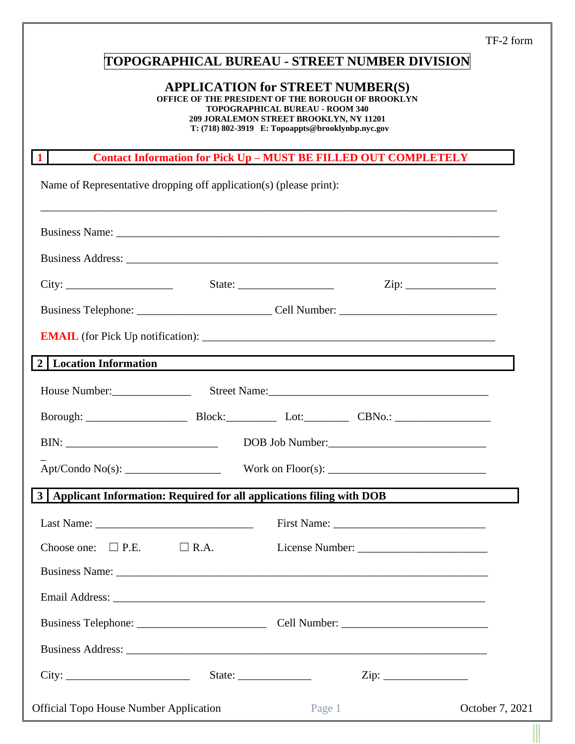TF-2 form

# **TOPOGRAPHICAL BUREAU - STREET NUMBER DIVISION**

### **APPLICATION for STREET NUMBER(S)**

**OFFICE OF THE PRESIDENT OF THE BOROUGH OF BROOKLYN**

**TOPOGRAPHICAL BUREAU - ROOM 340**

**209 JORALEMON STREET BROOKLYN, NY 11201 T: (718) 802-3919 E: Topoappts@brooklynbp.nyc.gov**

### **1 Contact Information for Pick Up – MUST BE FILLED OUT COMPLETELY**

Name of Representative dropping off application(s) (please print):

| Business Name: 1988. Communication of the Communication of the Communication of the Communication of the Communication of the Communication of the Communication of the Communication of the Communication of the Communicatio |                                                                                  |                 |
|--------------------------------------------------------------------------------------------------------------------------------------------------------------------------------------------------------------------------------|----------------------------------------------------------------------------------|-----------------|
|                                                                                                                                                                                                                                |                                                                                  |                 |
|                                                                                                                                                                                                                                |                                                                                  |                 |
|                                                                                                                                                                                                                                |                                                                                  |                 |
|                                                                                                                                                                                                                                |                                                                                  |                 |
| 2   Location Information                                                                                                                                                                                                       | ,我们也不会有一个人的人,我们也不会有一个人的人,我们也不会有一个人的人。""我们,我们也不会有一个人的人,我们也不会有一个人的人。""我们,我们也不会有一个人 |                 |
| House Number:<br>Street Name:<br>Street Name:                                                                                                                                                                                  |                                                                                  |                 |
|                                                                                                                                                                                                                                |                                                                                  |                 |
|                                                                                                                                                                                                                                |                                                                                  |                 |
|                                                                                                                                                                                                                                |                                                                                  |                 |
| 3   Applicant Information: Required for all applications filing with DOB                                                                                                                                                       |                                                                                  |                 |
| Last Name: $\frac{1}{2}$                                                                                                                                                                                                       |                                                                                  |                 |
| Choose one: $\Box$ P.E.<br>$\Box$ R.A.                                                                                                                                                                                         |                                                                                  |                 |
| Business Name: Name: Name: Name: Name: Name: Name: Name: Name: Name: Name: Name: Name: Name: Name: Name: Name: Name: Name: Name: Name: Name: Name: Name: Name: Name: Name: Name: Name: Name: Name: Name: Name: Name: Name: Nam |                                                                                  |                 |
|                                                                                                                                                                                                                                |                                                                                  |                 |
|                                                                                                                                                                                                                                |                                                                                  |                 |
|                                                                                                                                                                                                                                |                                                                                  |                 |
| City:                                                                                                                                                                                                                          | State:                                                                           |                 |
| <b>Official Topo House Number Application</b>                                                                                                                                                                                  | Page 1                                                                           | October 7, 2021 |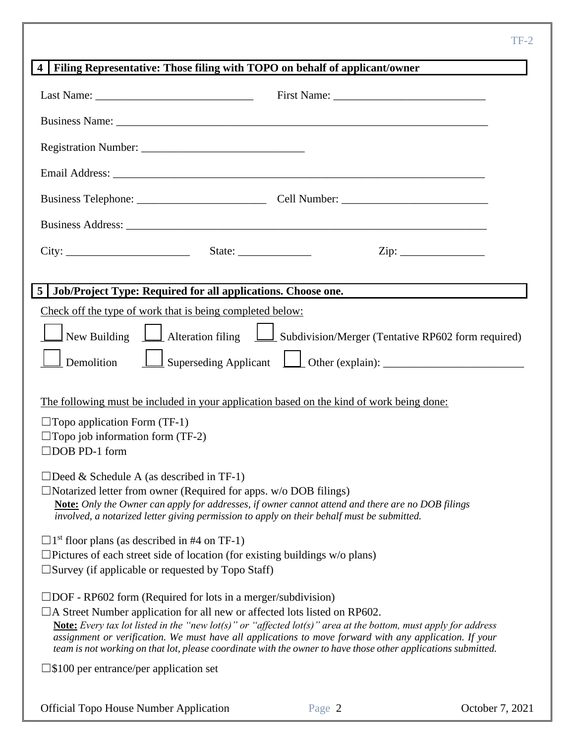| Filing Representative: Those filing with TOPO on behalf of applicant/owner<br>$\overline{4}$                                                                                                                                                                                                                                                                                                                                                                                                                 |
|--------------------------------------------------------------------------------------------------------------------------------------------------------------------------------------------------------------------------------------------------------------------------------------------------------------------------------------------------------------------------------------------------------------------------------------------------------------------------------------------------------------|
|                                                                                                                                                                                                                                                                                                                                                                                                                                                                                                              |
| Business Name: Name: Name: Name: Name: Name: Name: Name: Name: Name: Name: Name: Name: Name: Name: Name: Name: Name: Name: Name: Name: Name: Name: Name: Name: Name: Name: Name: Name: Name: Name: Name: Name: Name: Name: Nam                                                                                                                                                                                                                                                                               |
|                                                                                                                                                                                                                                                                                                                                                                                                                                                                                                              |
|                                                                                                                                                                                                                                                                                                                                                                                                                                                                                                              |
|                                                                                                                                                                                                                                                                                                                                                                                                                                                                                                              |
|                                                                                                                                                                                                                                                                                                                                                                                                                                                                                                              |
| $\overline{\mathrm{Zip:}}$                                                                                                                                                                                                                                                                                                                                                                                                                                                                                   |
| 5   Job/Project Type: Required for all applications. Choose one.                                                                                                                                                                                                                                                                                                                                                                                                                                             |
| Check off the type of work that is being completed below:                                                                                                                                                                                                                                                                                                                                                                                                                                                    |
| New Building $\boxed{\phantom{a}}$ Alteration filing $\phantom{a}\boxed{\phantom{a}}$ Subdivision/Merger (Tentative RP602 form required)                                                                                                                                                                                                                                                                                                                                                                     |
| Demolition                                                                                                                                                                                                                                                                                                                                                                                                                                                                                                   |
| The following must be included in your application based on the kind of work being done:                                                                                                                                                                                                                                                                                                                                                                                                                     |
| $\Box$ Topo application Form (TF-1)                                                                                                                                                                                                                                                                                                                                                                                                                                                                          |
| $\Box$ Topo job information form (TF-2)<br>$\Box$ DOB PD-1 form                                                                                                                                                                                                                                                                                                                                                                                                                                              |
| $\Box$ Deed & Schedule A (as described in TF-1)<br>$\Box$ Notarized letter from owner (Required for apps. w/o DOB filings)<br><b>Note:</b> Only the Owner can apply for addresses, if owner cannot attend and there are no DOB filings<br>involved, a notarized letter giving permission to apply on their behalf must be submitted.                                                                                                                                                                         |
| $\Box$ 1 <sup>st</sup> floor plans (as described in #4 on TF-1)<br>$\Box$ Pictures of each street side of location (for existing buildings w/o plans)<br>$\square$ Survey (if applicable or requested by Topo Staff)                                                                                                                                                                                                                                                                                         |
| $\Box$ DOF - RP602 form (Required for lots in a merger/subdivision)<br>$\Box$ A Street Number application for all new or affected lots listed on RP602.<br><b>Note:</b> Every tax lot listed in the "new lot(s)" or "affected lot(s)" area at the bottom, must apply for address<br>assignment or verification. We must have all applications to move forward with any application. If your<br>team is not working on that lot, please coordinate with the owner to have those other applications submitted. |
| $\square$ \$100 per entrance/per application set                                                                                                                                                                                                                                                                                                                                                                                                                                                             |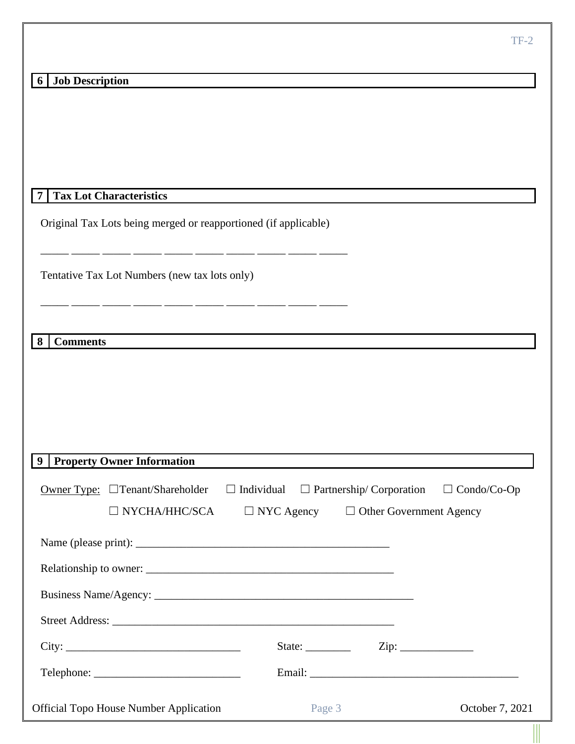# **6 Job Description**

Original Tax Lots being merged or reapportioned (if applicable)

\_\_\_\_\_ \_\_\_\_\_ \_\_\_\_\_ \_\_\_\_\_ \_\_\_\_\_ \_\_\_\_\_ \_\_\_\_\_ \_\_\_\_\_ \_\_\_\_\_ \_\_\_\_\_

\_\_\_\_\_ \_\_\_\_\_ \_\_\_\_\_ \_\_\_\_\_ \_\_\_\_\_ \_\_\_\_\_ \_\_\_\_\_ \_\_\_\_\_ \_\_\_\_\_ \_\_\_\_\_

Tentative Tax Lot Numbers (new tax lots only)

**8 Comments**

|  | 9 Property Owner Information                                                                                                                                                                                                                                                                                                                                                                                                                                                                                                                                        |                   |        |                                                   |                 |
|--|---------------------------------------------------------------------------------------------------------------------------------------------------------------------------------------------------------------------------------------------------------------------------------------------------------------------------------------------------------------------------------------------------------------------------------------------------------------------------------------------------------------------------------------------------------------------|-------------------|--------|---------------------------------------------------|-----------------|
|  | Owner Type: $\Box$ Tenant/Shareholder                                                                                                                                                                                                                                                                                                                                                                                                                                                                                                                               | $\Box$ Individual |        | $\Box$ Partnership/Corporation $\Box$ Condo/Co-Op |                 |
|  | $NYCHA/HHC/SCA$ $\Box$ NYC Agency $\Box$ Other Government Agency                                                                                                                                                                                                                                                                                                                                                                                                                                                                                                    |                   |        |                                                   |                 |
|  |                                                                                                                                                                                                                                                                                                                                                                                                                                                                                                                                                                     |                   |        |                                                   |                 |
|  |                                                                                                                                                                                                                                                                                                                                                                                                                                                                                                                                                                     |                   |        |                                                   |                 |
|  |                                                                                                                                                                                                                                                                                                                                                                                                                                                                                                                                                                     |                   |        |                                                   |                 |
|  |                                                                                                                                                                                                                                                                                                                                                                                                                                                                                                                                                                     |                   |        |                                                   |                 |
|  |                                                                                                                                                                                                                                                                                                                                                                                                                                                                                                                                                                     |                   |        | State: $\qquad \qquad \text{Zip: } \qquad \qquad$ |                 |
|  | $\text{Telephone:}\n \underline{\hspace{2cm}}\n \underline{\hspace{2cm}}\n \underline{\hspace{2cm}}\n \underline{\hspace{2cm}}\n \underline{\hspace{2cm}}\n \underline{\hspace{2cm}}\n \underline{\hspace{2cm}}\n \underline{\hspace{2cm}}\n \underline{\hspace{2cm}}\n \underline{\hspace{2cm}}\n \underline{\hspace{2cm}}\n \underline{\hspace{2cm}}\n \underline{\hspace{2cm}}\n \underline{\hspace{2cm}}\n \underline{\hspace{2cm}}\n \underline{\hspace{2cm}}\n \underline{\hspace{2cm}}\n \underline{\hspace{2cm}}\n \underline{\hspace{2cm}}\n \underline{\$ |                   |        |                                                   |                 |
|  | <b>Official Topo House Number Application</b>                                                                                                                                                                                                                                                                                                                                                                                                                                                                                                                       |                   | Page 3 |                                                   | October 7, 2021 |